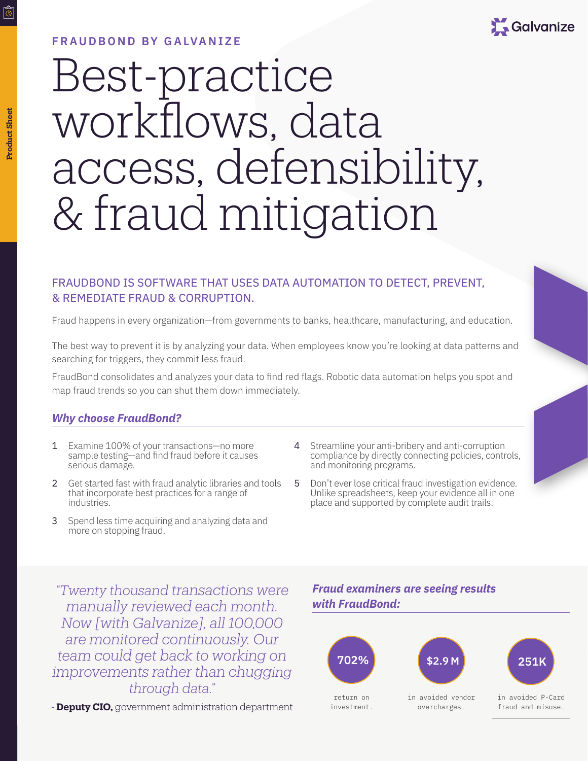# **FRAUDBOND BY GALVANIZE**



# Best-practice workflows, data access, defensibility, & fraud mitigation

# FRAUDBOND IS SOFTWARE THAT USES DATA AUTOMATION TO DETECT, PREVENT, & REMEDIATE FRAUD & CORRUPTION.

Fraud happens in every organization—from governments to banks, healthcare, manufacturing, and education.

The best way to prevent it is by analyzing your data. When employees know you're looking at data patterns and searching for triggers, they commit less fraud.

FraudBond consolidates and analyzes your data to find red flags. Robotic data automation helps you spot and map fraud trends so you can shut them down immediately.

## *Why choose FraudBond?*

- 1 Examine 100% of your transactions—no more sample testing—and find fraud before it causes serious damage.
- 2 Get started fast with fraud analytic libraries and tools that incorporate best practices for a range of industries.
- 3 Spend less time acquiring and analyzing data and more on stopping fraud.
- 4 Streamline your anti-bribery and anti-corruption compliance by directly connecting policies, controls, and monitoring programs.
- 5 Don't ever lose critical fraud investigation evidence. Unlike spreadsheets, keep your evidence all in one place and supported by complete audit trails.

*"Twenty thousand transactions were manually reviewed each month. Now [with Galvanize], all 100,000 are monitored continuously. Our team could get back to working on improvements rather than chugging through data."*

**- Deputy CIO,** government administration department

# *Fraud examiners are seeing results with FraudBond:*